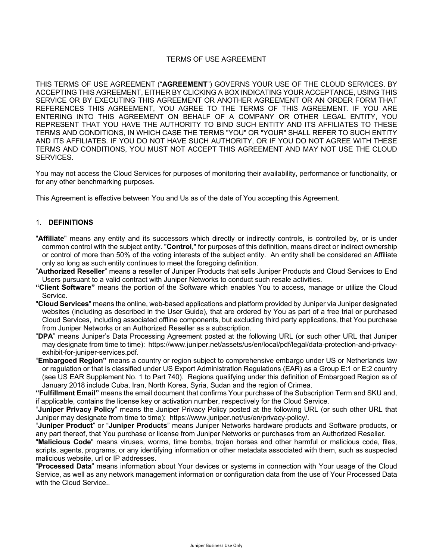# TERMS OF USE AGREEMENT

THIS TERMS OF USE AGREEMENT ("**AGREEMENT**") GOVERNS YOUR USE OF THE CLOUD SERVICES. BY ACCEPTING THIS AGREEMENT, EITHER BY CLICKING A BOX INDICATING YOUR ACCEPTANCE, USING THIS SERVICE OR BY EXECUTING THIS AGREEMENT OR ANOTHER AGREEMENT OR AN ORDER FORM THAT REFERENCES THIS AGREEMENT, YOU AGREE TO THE TERMS OF THIS AGREEMENT. IF YOU ARE ENTERING INTO THIS AGREEMENT ON BEHALF OF A COMPANY OR OTHER LEGAL ENTITY, YOU REPRESENT THAT YOU HAVE THE AUTHORITY TO BIND SUCH ENTITY AND ITS AFFILIATES TO THESE TERMS AND CONDITIONS, IN WHICH CASE THE TERMS "YOU" OR "YOUR" SHALL REFER TO SUCH ENTITY AND ITS AFFILIATES. IF YOU DO NOT HAVE SUCH AUTHORITY, OR IF YOU DO NOT AGREE WITH THESE TERMS AND CONDITIONS, YOU MUST NOT ACCEPT THIS AGREEMENT AND MAY NOT USE THE CLOUD **SERVICES** 

You may not access the Cloud Services for purposes of monitoring their availability, performance or functionality, or for any other benchmarking purposes.

This Agreement is effective between You and Us as of the date of You accepting this Agreement.

# 1. **DEFINITIONS**

- "**Affiliate**" means any entity and its successors which directly or indirectly controls, is controlled by, or is under common control with the subject entity. "**Control**," for purposes of this definition, means direct or indirect ownership or control of more than 50% of the voting interests of the subject entity. An entity shall be considered an Affiliate only so long as such entity continues to meet the foregoing definition.
- "**Authorized Reseller**" means a reseller of Juniper Products that sells Juniper Products and Cloud Services to End Users pursuant to a valid contract with Juniper Networks to conduct such resale activities.
- **"Client Software"** means the portion of the Software which enables You to access, manage or utilize the Cloud Service.
- "**Cloud Services**" means the online, web-based applications and platform provided by Juniper via Juniper designated websites (including as described in the User Guide), that are ordered by You as part of a free trial or purchased Cloud Services, including associated offline components, but excluding third party applications, that You purchase from Juniper Networks or an Authorized Reseller as a subscription.
- "**DPA**" means Juniper's Data Processing Agreement posted at the following URL (or such other URL that Juniper may designate from time to time): https://www.juniper.net/assets/us/en/local/pdf/legal/data-protection-and-privacyexhibit-for-juniper-services.pdf.
- "**Embargoed Region"** means a country or region subject to comprehensive embargo under US or Netherlands law or regulation or that is classified under US Export Administration Regulations (EAR) as a Group E:1 or E:2 country (see US EAR Supplement No. 1 to Part 740). Regions qualifying under this definition of Embargoed Region as of January 2018 include Cuba, Iran, North Korea, Syria, Sudan and the region of Crimea.

**"Fulfillment Email"** means the email document that confirms Your purchase of the Subscription Term and SKU and, if applicable, contains the license key or activation number, respectively for the Cloud Service.

"**Juniper Privacy Policy**" means the Juniper Privacy Policy posted at the following URL (or such other URL that Juniper may designate from time to time): https://www.juniper.net/us/en/privacy-policy/.

"**Juniper Product**" or "**Juniper Products**" means Juniper Networks hardware products and Software products, or any part thereof, that You purchase or license from Juniper Networks or purchases from an Authorized Reseller.

"**Malicious Code**" means viruses, worms, time bombs, trojan horses and other harmful or malicious code, files, scripts, agents, programs, or any identifying information or other metadata associated with them, such as suspected malicious website, url or IP addresses.

"**Processed Data**" means information about Your devices or systems in connection with Your usage of the Cloud Service, as well as any network management information or configuration data from the use of Your Processed Data with the Cloud Service..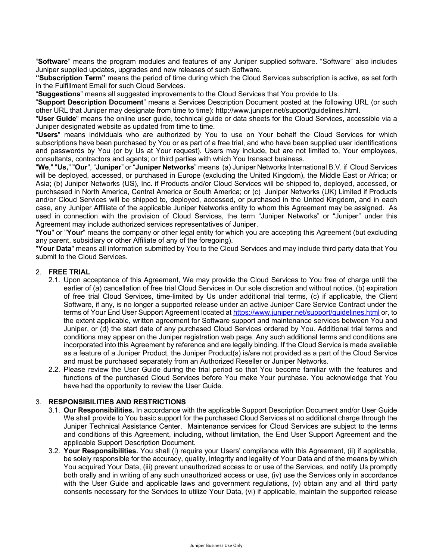"**Software**" means the program modules and features of any Juniper supplied software. "Software" also includes Juniper supplied updates, upgrades and new releases of such Software.

**"Subscription Term"** means the period of time during which the Cloud Services subscription is active, as set forth in the Fulfillment Email for such Cloud Services.

"**Suggestions**" means all suggested improvements to the Cloud Services that You provide to Us.

"**Support Description Document**" means a Services Description Document posted at the following URL (or such other URL that Juniper may designate from time to time): http://www.juniper.net/support/guidelines.html.

"**User Guide**" means the online user guide, technical guide or data sheets for the Cloud Services, accessible via a Juniper designated website as updated from time to time.

"**Users**" means individuals who are authorized by You to use on Your behalf the Cloud Services for which subscriptions have been purchased by You or as part of a free trial, and who have been supplied user identifications and passwords by You (or by Us at Your request). Users may include, but are not limited to, Your employees, consultants, contractors and agents; or third parties with which You transact business.

"**We**," "**Us,**" "**Our**", "**Juniper**" or "**Juniper Networks**" means (a) Juniper Networks International B.V. if Cloud Services will be deployed, accessed, or purchased in Europe (excluding the United Kingdom), the Middle East or Africa; or Asia; (b) Juniper Networks (US), Inc. if Products and/or Cloud Services will be shipped to, deployed, accessed, or purchsased in North America, Central America or South America; or (c) Juniper Networks (UK) Limited if Products and/or Cloud Services will be shipped to, deployed, accessed, or purchased in the United Kingdom, and in each case, any Juniper Affiliate of the applicable Juniper Networks entity to whom this Agreement may be assigned. As used in connection with the provision of Cloud Services, the term "Juniper Networks" or "Juniper" under this Agreement may include authorized services representatives of Juniper.

"**You**" or "**Your**" means the company or other legal entity for which you are accepting this Agreement (but excluding any parent, subsidiary or other Affiliate of any of the foregoing).

"**Your Data**" means all information submitted by You to the Cloud Services and may include third party data that You submit to the Cloud Services.

### 2. **FREE TRIAL**

- 2.1. Upon acceptance of this Agreement, We may provide the Cloud Services to You free of charge until the earlier of (a) cancellation of free trial Cloud Services in Our sole discretion and without notice, (b) expiration of free trial Cloud Services, time-limited by Us under additional trial terms, (c) if applicable, the Client Software, if any, is no longer a supported release under an active Juniper Care Service Contract under the terms of Your End User Support Agreement located at https://www.juniper.net/support/guidelines.html or, to the extent applicable, written agreement for Software support and maintenance services between You and Juniper, or (d) the start date of any purchased Cloud Services ordered by You. Additional trial terms and conditions may appear on the Juniper registration web page. Any such additional terms and conditions are incorporated into this Agreement by reference and are legally binding. If the Cloud Service is made available as a feature of a Juniper Product, the Juniper Product(s) is/are not provided as a part of the Cloud Service and must be purchased separately from an Authorized Reseller or Juniper Networks.
- 2.2. Please review the User Guide during the trial period so that You become familiar with the features and functions of the purchased Cloud Services before You make Your purchase. You acknowledge that You have had the opportunity to review the User Guide.

### 3. **RESPONSIBILITIES AND RESTRICTIONS**

- 3.1. **Our Responsibilities.** In accordance with the applicable Support Description Document and/or User Guide We shall provide to You basic support for the purchased Cloud Services at no additional charge through the Juniper Technical Assistance Center. Maintenance services for Cloud Services are subject to the terms and conditions of this Agreement, including, without limitation, the End User Support Agreement and the applicable Support Description Document.
- 3.2. **Your Responsibilities.** You shall (i) require your Users' compliance with this Agreement, (ii) if applicable, be solely responsible for the accuracy, quality, integrity and legality of Your Data and of the means by which You acquired Your Data, (iii) prevent unauthorized access to or use of the Services, and notify Us promptly both orally and in writing of any such unauthorized access or use, (iv) use the Services only in accordance with the User Guide and applicable laws and government regulations, (v) obtain any and all third party consents necessary for the Services to utilize Your Data, (vi) if applicable, maintain the supported release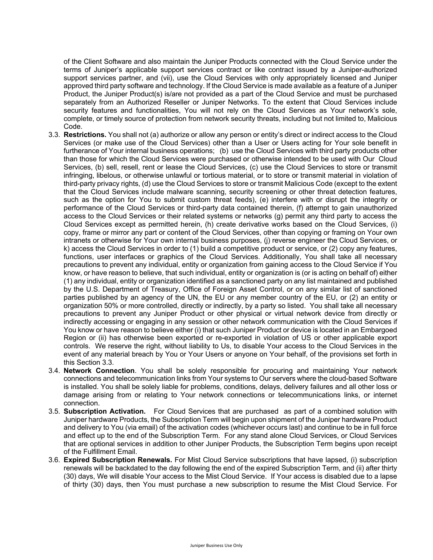of the Client Software and also maintain the Juniper Products connected with the Cloud Service under the terms of Juniper's applicable support services contract or like contract issued by a Juniper-authorized support services partner, and (vii), use the Cloud Services with only appropriately licensed and Juniper approved third party software and technology. If the Cloud Service is made available as a feature of a Juniper Product, the Juniper Product(s) is/are not provided as a part of the Cloud Service and must be purchased separately from an Authorized Reseller or Juniper Networks. To the extent that Cloud Services include security features and functionalities, You will not rely on the Cloud Services as Your network's sole, complete, or timely source of protection from network security threats, including but not limited to, Malicious Code.

- 3.3. **Restrictions.** You shall not (a) authorize or allow any person or entity's direct or indirect access to the Cloud Services (or make use of the Cloud Services) other than a User or Users acting for Your sole benefit in furtherance of Your internal business operations; (b) use the Cloud Services with third party products other than those for which the Cloud Services were purchased or otherwise intended to be used with Our Cloud Services, (b) sell, resell, rent or lease the Cloud Services, (c) use the Cloud Services to store or transmit infringing, libelous, or otherwise unlawful or tortious material, or to store or transmit material in violation of third-party privacy rights, (d) use the Cloud Services to store or transmit Malicious Code (except to the extent that the Cloud Services include malware scanning, security screening or other threat detection features, such as the option for You to submit custom threat feeds), (e) interfere with or disrupt the integrity or performance of the Cloud Services or third-party data contained therein, (f) attempt to gain unauthorized access to the Cloud Services or their related systems or networks (g) permit any third party to access the Cloud Services except as permitted herein, (h) create derivative works based on the Cloud Services, (i) copy, frame or mirror any part or content of the Cloud Services, other than copying or framing on Your own intranets or otherwise for Your own internal business purposes, (j) reverse engineer the Cloud Services, or k) access the Cloud Services in order to (1) build a competitive product or service, or (2) copy any features, functions, user interfaces or graphics of the Cloud Services. Additionally, You shall take all necessary precautions to prevent any individual, entity or organization from gaining access to the Cloud Service if You know, or have reason to believe, that such individual, entity or organization is (or is acting on behalf of) either (1) any individual, entity or organization identified as a sanctioned party on any list maintained and published by the U.S. Department of Treasury, Office of Foreign Asset Control, or on any similar list of sanctioned parties published by an agency of the UN, the EU or any member country of the EU, or (2) an entity or organization 50% or more controlled, directly or indirectly, by a party so listed. You shall take all necessary precautions to prevent any Juniper Product or other physical or virtual network device from directly or indirectly accessing or engaging in any session or other network communication with the Cloud Services if You know or have reason to believe either (i) that such Juniper Product or device is located in an Embargoed Region or (ii) has otherwise been exported or re-exported in violation of US or other applicable export controls. We reserve the right, without liability to Us, to disable Your access to the Cloud Services in the event of any material breach by You or Your Users or anyone on Your behalf, of the provisions set forth in this Section 3.3.
- 3.4. **Network Connection**. You shall be solely responsible for procuring and maintaining Your network connections and telecommunication links from Your systems to Our servers where the cloud-based Software is installed. You shall be solely liable for problems, conditions, delays, delivery failures and all other loss or damage arising from or relating to Your network connections or telecommunications links, or internet connection.
- 3.5. **Subscription Activation.** For Cloud Services that are purchased as part of a combined solution with Juniper hardware Products, the Subscription Term will begin upon shipment of the Juniper hardware Product and delivery to You (via email) of the activation codes (whichever occurs last) and continue to be in full force and effect up to the end of the Subscription Term. For any stand alone Cloud Services, or Cloud Services that are optional services in addition to other Juniper Products, the Subscription Term begins upon receipt of the Fulfillment Email.
- 3.6. **Expired Subscription Renewals.** For Mist Cloud Service subscriptions that have lapsed, (i) subscription renewals will be backdated to the day following the end of the expired Subscription Term, and (ii) after thirty (30) days, We will disable Your access to the Mist Cloud Service. If Your access is disabled due to a lapse of thirty (30) days, then You must purchase a new subscription to resume the Mist Cloud Service. For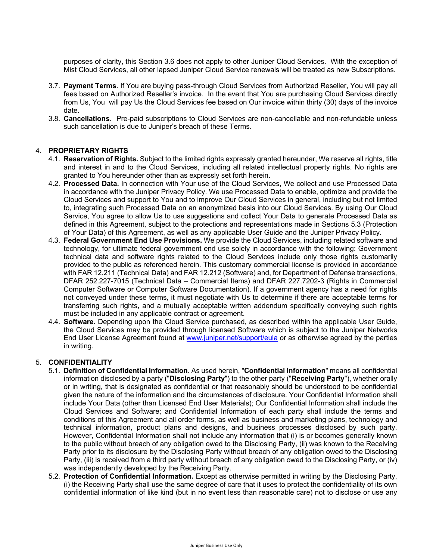purposes of clarity, this Section 3.6 does not apply to other Juniper Cloud Services. With the exception of Mist Cloud Services, all other lapsed Juniper Cloud Service renewals will be treated as new Subscriptions.

- 3.7. **Payment Terms**. If You are buying pass-through Cloud Services from Authorized Reseller, You will pay all fees based on Authorized Reseller's invoice. In the event that You are purchasing Cloud Services directly from Us, You will pay Us the Cloud Services fee based on Our invoice within thirty (30) days of the invoice date.
- 3.8. **Cancellations**. Pre-paid subscriptions to Cloud Services are non-cancellable and non-refundable unless such cancellation is due to Juniper's breach of these Terms.

# 4. **PROPRIETARY RIGHTS**

- 4.1. **Reservation of Rights.** Subject to the limited rights expressly granted hereunder, We reserve all rights, title and interest in and to the Cloud Services, including all related intellectual property rights. No rights are granted to You hereunder other than as expressly set forth herein.
- 4.2. **Processed Data.** In connection with Your use of the Cloud Services, We collect and use Processed Data in accordance with the Juniper Privacy Policy. We use Processed Data to enable, optimize and provide the Cloud Services and support to You and to improve Our Cloud Services in general, including but not limited to, integrating such Processed Data on an anonymized basis into our Cloud Services. By using Our Cloud Service, You agree to allow Us to use suggestions and collect Your Data to generate Processed Data as defined in this Agreement, subject to the protections and representations made in Sections 5.3 (Protection of Your Data) of this Agreement, as well as any applicable User Guide and the Juniper Privacy Policy.
- 4.3. **Federal Government End Use Provisions.** We provide the Cloud Services, including related software and technology, for ultimate federal government end use solely in accordance with the following: Government technical data and software rights related to the Cloud Services include only those rights customarily provided to the public as referenced herein. This customary commercial license is provided in accordance with FAR 12.211 (Technical Data) and FAR 12.212 (Software) and, for Department of Defense transactions, DFAR 252.227-7015 (Technical Data – Commercial Items) and DFAR 227.7202-3 (Rights in Commercial Computer Software or Computer Software Documentation). If a government agency has a need for rights not conveyed under these terms, it must negotiate with Us to determine if there are acceptable terms for transferring such rights, and a mutually acceptable written addendum specifically conveying such rights must be included in any applicable contract or agreement.
- 4.4. **Software.** Depending upon the Cloud Service purchased, as described within the applicable User Guide, the Cloud Services may be provided through licensed Software which is subject to the Juniper Networks End User License Agreement found at www.juniper.net/support/eula or as otherwise agreed by the parties in writing.

#### 5. **CONFIDENTIALITY**

- 5.1. **Definition of Confidential Information.** As used herein, "**Confidential Information**" means all confidential information disclosed by a party ("**Disclosing Party**") to the other party ("**Receiving Party**"), whether orally or in writing, that is designated as confidential or that reasonably should be understood to be confidential given the nature of the information and the circumstances of disclosure. Your Confidential Information shall include Your Data (other than Licensed End User Materials); Our Confidential Information shall include the Cloud Services and Software; and Confidential Information of each party shall include the terms and conditions of this Agreement and all order forms, as well as business and marketing plans, technology and technical information, product plans and designs, and business processes disclosed by such party. However, Confidential Information shall not include any information that (i) is or becomes generally known to the public without breach of any obligation owed to the Disclosing Party, (ii) was known to the Receiving Party prior to its disclosure by the Disclosing Party without breach of any obligation owed to the Disclosing Party, (iii) is received from a third party without breach of any obligation owed to the Disclosing Party, or (iv) was independently developed by the Receiving Party.
- 5.2. **Protection of Confidential Information.** Except as otherwise permitted in writing by the Disclosing Party, (i) the Receiving Party shall use the same degree of care that it uses to protect the confidentiality of its own confidential information of like kind (but in no event less than reasonable care) not to disclose or use any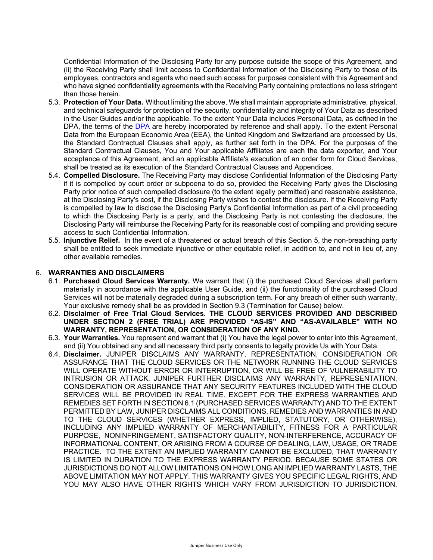Confidential Information of the Disclosing Party for any purpose outside the scope of this Agreement, and (ii) the Receiving Party shall limit access to Confidential Information of the Disclosing Party to those of its employees, contractors and agents who need such access for purposes consistent with this Agreement and who have signed confidentiality agreements with the Receiving Party containing protections no less stringent than those herein.

- 5.3. **Protection of Your Data.** Without limiting the above, We shall maintain appropriate administrative, physical, and technical safeguards for protection of the security, confidentiality and integrity of Your Data as described in the User Guides and/or the applicable. To the extent Your Data includes Personal Data, as defined in the DPA, the terms of the DPA are hereby incorporated by reference and shall apply. To the extent Personal Data from the European Economic Area (EEA), the United Kingdom and Switzerland are processed by Us, the Standard Contractual Clauses shall apply, as further set forth in the DPA. For the purposes of the Standard Contractual Clauses, You and Your applicable Affiliates are each the data exporter, and Your acceptance of this Agreement, and an applicable Affiliate's execution of an order form for Cloud Services, shall be treated as its execution of the Standard Contractual Clauses and Appendices.
- 5.4. **Compelled Disclosure.** The Receiving Party may disclose Confidential Information of the Disclosing Party if it is compelled by court order or subpoena to do so, provided the Receiving Party gives the Disclosing Party prior notice of such compelled disclosure (to the extent legally permitted) and reasonable assistance, at the Disclosing Party's cost, if the Disclosing Party wishes to contest the disclosure. If the Receiving Party is compelled by law to disclose the Disclosing Party's Confidential Information as part of a civil proceeding to which the Disclosing Party is a party, and the Disclosing Party is not contesting the disclosure, the Disclosing Party will reimburse the Receiving Party for its reasonable cost of compiling and providing secure access to such Confidential Information.
- 5.5. **Injunctive Relief.** In the event of a threatened or actual breach of this Section 5, the non-breaching party shall be entitled to seek immediate injunctive or other equitable relief, in addition to, and not in lieu of, any other available remedies.

#### 6. **WARRANTIES AND DISCLAIMERS**

- 6.1. **Purchased Cloud Services Warranty.** We warrant that (i) the purchased Cloud Services shall perform materially in accordance with the applicable User Guide, and (ii) the functionality of the purchased Cloud Services will not be materially degraded during a subscription term. For any breach of either such warranty, Your exclusive remedy shall be as provided in Section 9.3 (Termination for Cause) below.
- 6.2. **Disclaimer of Free Trial Cloud Services. THE CLOUD SERVICES PROVIDED AND DESCRIBED UNDER SECTION 2 (FREE TRIAL) ARE PROVIDED "AS-IS" AND "AS-AVAILABLE" WITH NO WARRANTY, REPRESENTATION, OR CONSIDERATION OF ANY KIND.**
- 6.3. **Your Warranties.** You represent and warrant that (i) You have the legal power to enter into this Agreement, and (ii) You obtained any and all necessary third party consents to legally provide Us with Your Data.
- 6.4. **Disclaimer.** JUNIPER DISCLAIMS ANY WARRANTY, REPRESENTATION, CONSIDERATION OR ASSURANCE THAT THE CLOUD SERVICES OR THE NETWORK RUNNING THE CLOUD SERVICES WILL OPERATE WITHOUT ERROR OR INTERRUPTION, OR WILL BE FREE OF VULNERABILITY TO INTRUSION OR ATTACK. JUNIPER FURTHER DISCLAIMS ANY WARRANTY, REPRESENTATION, CONSIDERATION OR ASSURANCE THAT ANY SECURITY FEATURES INCLUDED WITH THE CLOUD SERVICES WILL BE PROVIDED IN REAL TIME. EXCEPT FOR THE EXPRESS WARRANTIES AND REMEDIES SET FORTH IN SECTION 6.1 (PURCHASED SERVICES WARRANTY) AND TO THE EXTENT PERMITTED BY LAW, JUNIPER DISCLAIMS ALL CONDITIONS, REMEDIES AND WARRANTIES IN AND TO THE CLOUD SERVICES (WHETHER EXPRESS, IMPLIED, STATUTORY, OR OTHERWISE), INCLUDING ANY IMPLIED WARRANTY OF MERCHANTABILITY, FITNESS FOR A PARTICULAR PURPOSE, NONINFRINGEMENT, SATISFACTORY QUALITY, NON-INTERFERENCE, ACCURACY OF INFORMATIONAL CONTENT, OR ARISING FROM A COURSE OF DEALING, LAW, USAGE, OR TRADE PRACTICE. TO THE EXTENT AN IMPLIED WARRANTY CANNOT BE EXCLUDED, THAT WARRANTY IS LIMITED IN DURATION TO THE EXPRESS WARRANTY PERIOD. BECAUSE SOME STATES OR JURISDICTIONS DO NOT ALLOW LIMITATIONS ON HOW LONG AN IMPLIED WARRANTY LASTS, THE ABOVE LIMITATION MAY NOT APPLY. THIS WARRANTY GIVES YOU SPECIFIC LEGAL RIGHTS, AND YOU MAY ALSO HAVE OTHER RIGHTS WHICH VARY FROM JURISDICTION TO JURISDICTION.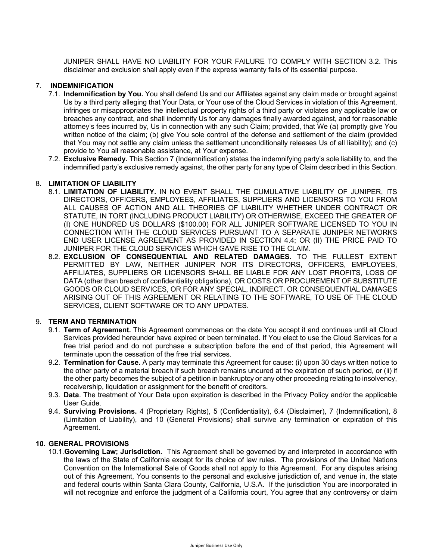JUNIPER SHALL HAVE NO LIABILITY FOR YOUR FAILURE TO COMPLY WITH SECTION 3.2. This disclaimer and exclusion shall apply even if the express warranty fails of its essential purpose.

### 7. **INDEMNIFICATION**

- 7.1. **Indemnification by You.** You shall defend Us and our Affiliates against any claim made or brought against Us by a third party alleging that Your Data, or Your use of the Cloud Services in violation of this Agreement, infringes or misappropriates the intellectual property rights of a third party or violates any applicable law or breaches any contract, and shall indemnify Us for any damages finally awarded against, and for reasonable attorney's fees incurred by, Us in connection with any such Claim; provided, that We (a) promptly give You written notice of the claim; (b) give You sole control of the defense and settlement of the claim (provided that You may not settle any claim unless the settlement unconditionally releases Us of all liability); and (c) provide to You all reasonable assistance, at Your expense.
- 7.2. **Exclusive Remedy.** This Section 7 (Indemnification) states the indemnifying party's sole liability to, and the indemnified party's exclusive remedy against, the other party for any type of Claim described in this Section.

# 8. **LIMITATION OF LIABILITY**

- 8.1. **LIMITATION OF LIABILITY.** IN NO EVENT SHALL THE CUMULATIVE LIABILITY OF JUNIPER, ITS DIRECTORS, OFFICERS, EMPLOYEES, AFFILIATES, SUPPLIERS AND LICENSORS TO YOU FROM ALL CAUSES OF ACTION AND ALL THEORIES OF LIABILITY WHETHER UNDER CONTRACT OR STATUTE, IN TORT (INCLUDING PRODUCT LIABILITY) OR OTHERWISE, EXCEED THE GREATER OF (I) ONE HUNDRED US DOLLARS (\$100.00) FOR ALL JUNIPER SOFTWARE LICENSED TO YOU IN CONNECTION WITH THE CLOUD SERVICES PURSUANT TO A SEPARATE JUNIPER NETWORKS END USER LICENSE AGREEMENT AS PROVIDED IN SECTION 4.4; OR (II) THE PRICE PAID TO JUNIPER FOR THE CLOUD SERVICES WHICH GAVE RISE TO THE CLAIM.
- 8.2. **EXCLUSION OF CONSEQUENTIAL AND RELATED DAMAGES.** TO THE FULLEST EXTENT PERMITTED BY LAW, NEITHER JUNIPER NOR ITS DIRECTORS, OFFICERS, EMPLOYEES, AFFILIATES, SUPPLIERS OR LICENSORS SHALL BE LIABLE FOR ANY LOST PROFITS, LOSS OF DATA (other than breach of confidentiality obligations), OR COSTS OR PROCUREMENT OF SUBSTITUTE GOODS OR CLOUD SERVICES, OR FOR ANY SPECIAL, INDIRECT, OR CONSEQUENTIAL DAMAGES ARISING OUT OF THIS AGREEMENT OR RELATING TO THE SOFTWARE, TO USE OF THE CLOUD SERVICES, CLIENT SOFTWARE OR TO ANY UPDATES.

#### 9. **TERM AND TERMINATION**

- 9.1. **Term of Agreement.** This Agreement commences on the date You accept it and continues until all Cloud Services provided hereunder have expired or been terminated. If You elect to use the Cloud Services for a free trial period and do not purchase a subscription before the end of that period, this Agreement will terminate upon the cessation of the free trial services.
- 9.2. **Termination for Cause.** A party may terminate this Agreement for cause: (i) upon 30 days written notice to the other party of a material breach if such breach remains uncured at the expiration of such period, or (ii) if the other party becomes the subject of a petition in bankruptcy or any other proceeding relating to insolvency, receivership, liquidation or assignment for the benefit of creditors.
- 9.3. **Data**. The treatment of Your Data upon expiration is described in the Privacy Policy and/or the applicable User Guide.
- 9.4. **Surviving Provisions.** 4 (Proprietary Rights), 5 (Confidentiality), 6.4 (Disclaimer), 7 (Indemnification), 8 (Limitation of Liability), and 10 (General Provisions) shall survive any termination or expiration of this Agreement.

#### **10. GENERAL PROVISIONS**

10.1.**Governing Law; Jurisdiction.** This Agreement shall be governed by and interpreted in accordance with the laws of the State of California except for its choice of law rules. The provisions of the United Nations Convention on the International Sale of Goods shall not apply to this Agreement. For any disputes arising out of this Agreement, You consents to the personal and exclusive jurisdiction of, and venue in, the state and federal courts within Santa Clara County, California, U.S.A. If the jurisdiction You are incorporated in will not recognize and enforce the judgment of a California court, You agree that any controversy or claim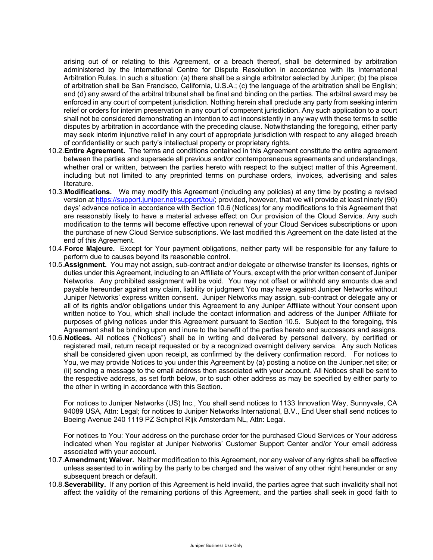arising out of or relating to this Agreement, or a breach thereof, shall be determined by arbitration administered by the International Centre for Dispute Resolution in accordance with its International Arbitration Rules. In such a situation: (a) there shall be a single arbitrator selected by Juniper; (b) the place of arbitration shall be San Francisco, California, U.S.A.; (c) the language of the arbitration shall be English; and (d) any award of the arbitral tribunal shall be final and binding on the parties. The arbitral award may be enforced in any court of competent jurisdiction. Nothing herein shall preclude any party from seeking interim relief or orders for interim preservation in any court of competent jurisdiction. Any such application to a court shall not be considered demonstrating an intention to act inconsistently in any way with these terms to settle disputes by arbitration in accordance with the preceding clause. Notwithstanding the foregoing, either party may seek interim injunctive relief in any court of appropriate jurisdiction with respect to any alleged breach of confidentiality or such party's intellectual property or proprietary rights.

- 10.2.**Entire Agreement.** The terms and conditions contained in this Agreement constitute the entire agreement between the parties and supersede all previous and/or contemporaneous agreements and understandings, whether oral or written, between the parties hereto with respect to the subject matter of this Agreement, including but not limited to any preprinted terms on purchase orders, invoices, advertising and sales literature.
- 10.3.**Modifications.** We may modify this Agreement (including any policies) at any time by posting a revised version at https://support.juniper.net/support/tou/; provided, however, that we will provide at least ninety (90) days' advance notice in accordance with Section 10.6 (Notices) for any modifications to this Agreement that are reasonably likely to have a material advese effect on Our provision of the Cloud Service. Any such modification to the terms will become effective upon renewal of your Cloud Services subscriptions or upon the purchase of new Cloud Service subscriptions. We last modified this Agreement on the date listed at the end of this Agreement.
- 10.4.**Force Majeure.** Except for Your payment obligations, neither party will be responsible for any failure to perform due to causes beyond its reasonable control.
- 10.5.**Assignment.** You may not assign, sub-contract and/or delegate or otherwise transfer its licenses, rights or duties under this Agreement, including to an Affiliate of Yours, except with the prior written consent of Juniper Networks. Any prohibited assignment will be void. You may not offset or withhold any amounts due and payable hereunder against any claim, liability or judgment You may have against Juniper Networks without Juniper Networks' express written consent. Juniper Networks may assign, sub-contract or delegate any or all of its rights and/or obligations under this Agreement to any Juniper Affiliate without Your consent upon written notice to You, which shall include the contact information and address of the Juniper Affiliate for purposes of giving notices under this Agreement pursuant to Section 10.5. Subject to the foregoing, this Agreement shall be binding upon and inure to the benefit of the parties hereto and successors and assigns.
- 10.6.**Notices.** All notices ("Notices") shall be in writing and delivered by personal delivery, by certified or registered mail, return receipt requested or by a recognized overnight delivery service. Any such Notices shall be considered given upon receipt, as confirmed by the delivery confirmation record. For notices to You, we may provide Notices to you under this Agreement by (a) posting a notice on the Juniper.net site; or (ii) sending a message to the email address then associated with your account. All Notices shall be sent to the respective address, as set forth below, or to such other address as may be specified by either party to the other in writing in accordance with this Section.

For notices to Juniper Networks (US) Inc., You shall send notices to 1133 Innovation Way, Sunnyvale, CA 94089 USA, Attn: Legal; for notices to Juniper Networks International, B.V., End User shall send notices to Boeing Avenue 240 1119 PZ Schiphol Rijk Amsterdam NL, Attn: Legal.

For notices to You: Your address on the purchase order for the purchased Cloud Services or Your address indicated when You register at Juniper Networks' Customer Support Center and/or Your email address associated with your account.

- 10.7.**Amendment; Waiver.** Neither modification to this Agreement, nor any waiver of any rights shall be effective unless assented to in writing by the party to be charged and the waiver of any other right hereunder or any subsequent breach or default.
- 10.8.**Severability.** If any portion of this Agreement is held invalid, the parties agree that such invalidity shall not affect the validity of the remaining portions of this Agreement, and the parties shall seek in good faith to